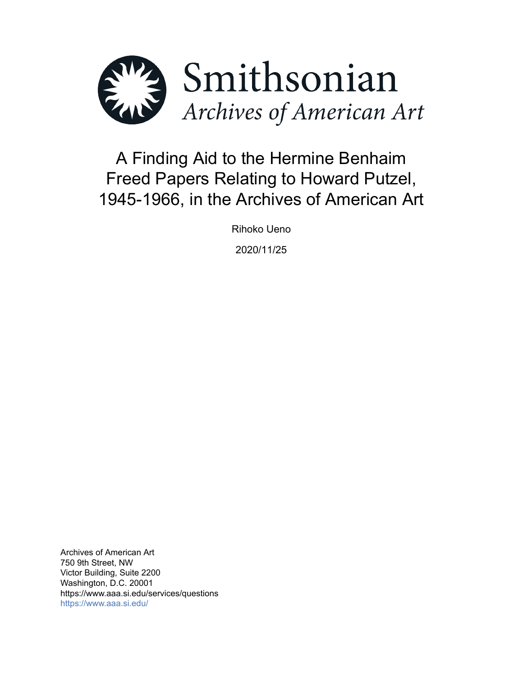

# A Finding Aid to the Hermine Benhaim Freed Papers Relating to Howard Putzel, 1945-1966, in the Archives of American Art

Rihoko Ueno

2020/11/25

Archives of American Art 750 9th Street, NW Victor Building, Suite 2200 Washington, D.C. 20001 https://www.aaa.si.edu/services/questions <https://www.aaa.si.edu/>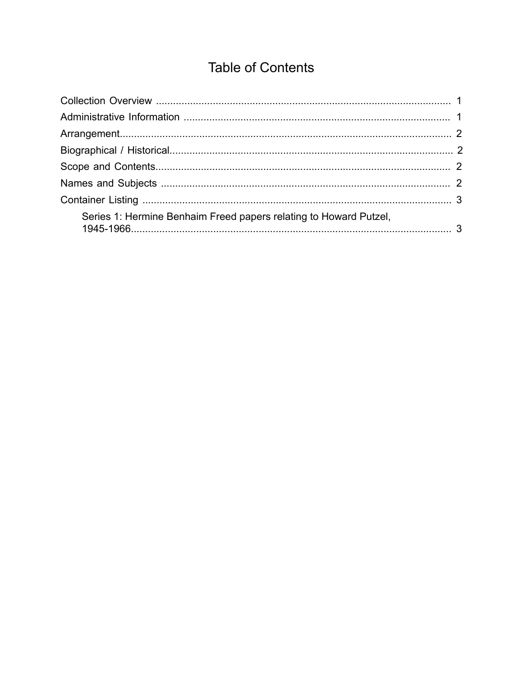## **Table of Contents**

<span id="page-1-0"></span>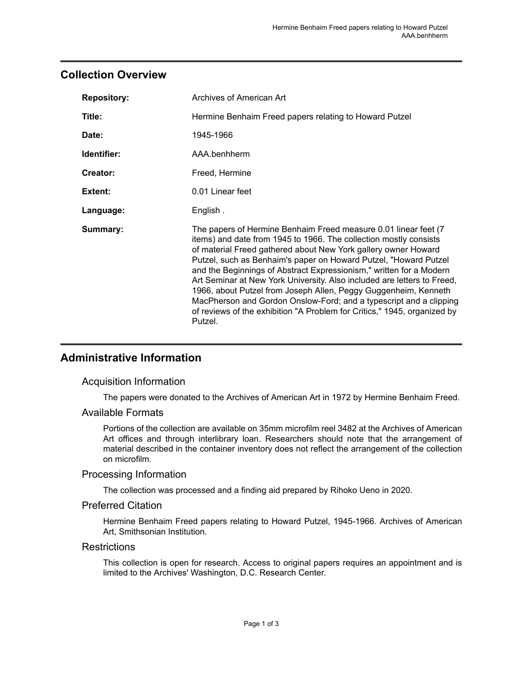### <span id="page-2-0"></span>**Collection Overview**

| <b>Repository:</b> | Archives of American Art                                                                                                                                                                                                                                                                                                                                                                                                                                                                                                                                                                                                                                      |
|--------------------|---------------------------------------------------------------------------------------------------------------------------------------------------------------------------------------------------------------------------------------------------------------------------------------------------------------------------------------------------------------------------------------------------------------------------------------------------------------------------------------------------------------------------------------------------------------------------------------------------------------------------------------------------------------|
| Title:             | Hermine Benhaim Freed papers relating to Howard Putzel                                                                                                                                                                                                                                                                                                                                                                                                                                                                                                                                                                                                        |
| Date:              | 1945-1966                                                                                                                                                                                                                                                                                                                                                                                                                                                                                                                                                                                                                                                     |
| Identifier:        | AAA.benhherm                                                                                                                                                                                                                                                                                                                                                                                                                                                                                                                                                                                                                                                  |
| Creator:           | Freed, Hermine                                                                                                                                                                                                                                                                                                                                                                                                                                                                                                                                                                                                                                                |
| Extent:            | 0.01 Linear feet                                                                                                                                                                                                                                                                                                                                                                                                                                                                                                                                                                                                                                              |
| Language:          | English.                                                                                                                                                                                                                                                                                                                                                                                                                                                                                                                                                                                                                                                      |
| Summary:           | The papers of Hermine Benhaim Freed measure 0.01 linear feet (7)<br>items) and date from 1945 to 1966. The collection mostly consists<br>of material Freed gathered about New York gallery owner Howard<br>Putzel, such as Benhaim's paper on Howard Putzel, "Howard Putzel<br>and the Beginnings of Abstract Expressionism," written for a Modern<br>Art Seminar at New York University. Also included are letters to Freed,<br>1966, about Putzel from Joseph Allen, Peggy Guggenheim, Kenneth<br>MacPherson and Gordon Onslow-Ford; and a typescript and a clipping<br>of reviews of the exhibition "A Problem for Critics," 1945, organized by<br>Putzel. |

## <span id="page-2-1"></span>**Administrative Information**

#### Acquisition Information

The papers were donated to the Archives of American Art in 1972 by Hermine Benhaim Freed.

#### Available Formats

Portions of the collection are available on 35mm microfilm reel 3482 at the Archives of American Art offices and through interlibrary loan. Researchers should note that the arrangement of material described in the container inventory does not reflect the arrangement of the collection on microfilm.

#### Processing Information

The collection was processed and a finding aid prepared by Rihoko Ueno in 2020.

#### Preferred Citation

Hermine Benhaim Freed papers relating to Howard Putzel, 1945-1966. Archives of American Art, Smithsonian Institution.

#### **Restrictions**

This collection is open for research. Access to original papers requires an appointment and is limited to the Archives' Washington, D.C. Research Center.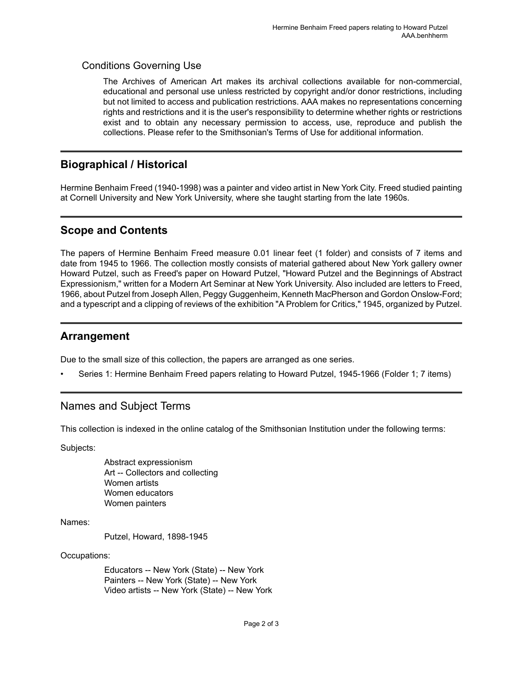#### Conditions Governing Use

The Archives of American Art makes its archival collections available for non-commercial, educational and personal use unless restricted by copyright and/or donor restrictions, including but not limited to access and publication restrictions. AAA makes no representations concerning rights and restrictions and it is the user's responsibility to determine whether rights or restrictions exist and to obtain any necessary permission to access, use, reproduce and publish the collections. Please refer to the Smithsonian's Terms of Use for additional information.

## <span id="page-3-1"></span>**Biographical / Historical**

Hermine Benhaim Freed (1940-1998) was a painter and video artist in New York City. Freed studied painting at Cornell University and New York University, where she taught starting from the late 1960s.

## <span id="page-3-2"></span>**Scope and Contents**

The papers of Hermine Benhaim Freed measure 0.01 linear feet (1 folder) and consists of 7 items and date from 1945 to 1966. The collection mostly consists of material gathered about New York gallery owner Howard Putzel, such as Freed's paper on Howard Putzel, "Howard Putzel and the Beginnings of Abstract Expressionism," written for a Modern Art Seminar at New York University. Also included are letters to Freed, 1966, about Putzel from Joseph Allen, Peggy Guggenheim, Kenneth MacPherson and Gordon Onslow-Ford; and a typescript and a clipping of reviews of the exhibition "A Problem for Critics," 1945, organized by Putzel.

### <span id="page-3-0"></span>**Arrangement**

Due to the small size of this collection, the papers are arranged as one series.

• Series 1: Hermine Benhaim Freed papers relating to Howard Putzel, 1945-1966 (Folder 1; 7 items)

## <span id="page-3-3"></span>Names and Subject Terms

This collection is indexed in the online catalog of the Smithsonian Institution under the following terms:

Subjects:

Abstract expressionism Art -- Collectors and collecting Women artists Women educators Women painters

Names:

Putzel, Howard, 1898-1945

Occupations:

Educators -- New York (State) -- New York Painters -- New York (State) -- New York Video artists -- New York (State) -- New York